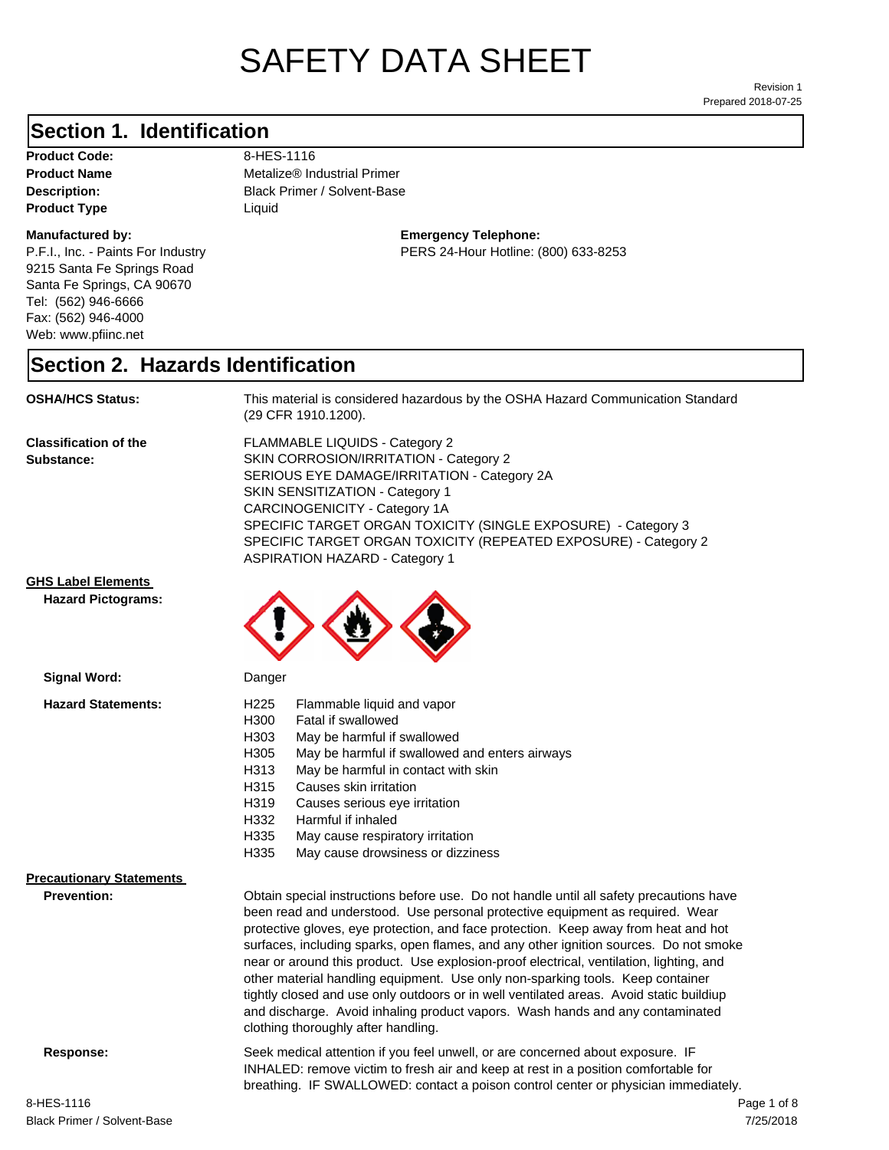# SAFETY DATA SHEET

Prepared 2018-07-25 Revision 1

## **Section 1. Identification**

Product Code: 8-HES-1116 **Product Type** Liquid

#### **Manufactured by:**

P.F.I., Inc. - Paints For Industry 9215 Santa Fe Springs Road Santa Fe Springs, CA 90670 Tel: (562) 946-6666 Fax: (562) 946-4000 Web: www.pfiinc.net

**Product Name** Metalize® Industrial Primer

**Description:** Black Primer / Solvent-Base

**Emergency Telephone:** PERS 24-Hour Hotline: (800) 633-8253

#### **Section 2. Hazards Identification**

**OSHA/HCS Status:** This material is considered hazardous by the OSHA Hazard Communication Standard (29 CFR 1910.1200).

**Classification of the Substance:**

FLAMMABLE LIQUIDS - Category 2 SKIN CORROSION/IRRITATION - Category 2 SERIOUS EYE DAMAGE/IRRITATION - Category 2A SKIN SENSITIZATION - Category 1 CARCINOGENICITY - Category 1A SPECIFIC TARGET ORGAN TOXICITY (SINGLE EXPOSURE) - Category 3 SPECIFIC TARGET ORGAN TOXICITY (REPEATED EXPOSURE) - Category 2 ASPIRATION HAZARD - Category 1

#### **GHS Label Elements**

**Hazard Pictograms:**



#### **Precautionary Statements**

**Prevention:**

Obtain special instructions before use. Do not handle until all safety precautions have been read and understood. Use personal protective equipment as required. Wear protective gloves, eye protection, and face protection. Keep away from heat and hot surfaces, including sparks, open flames, and any other ignition sources. Do not smoke near or around this product. Use explosion-proof electrical, ventilation, lighting, and other material handling equipment. Use only non-sparking tools. Keep container tightly closed and use only outdoors or in well ventilated areas. Avoid static buildiup and discharge. Avoid inhaling product vapors. Wash hands and any contaminated clothing thoroughly after handling.

**Response:** Seek medical attention if you feel unwell, or are concerned about exposure. IF INHALED: remove victim to fresh air and keep at rest in a position comfortable for breathing. IF SWALLOWED: contact a poison control center or physician immediately.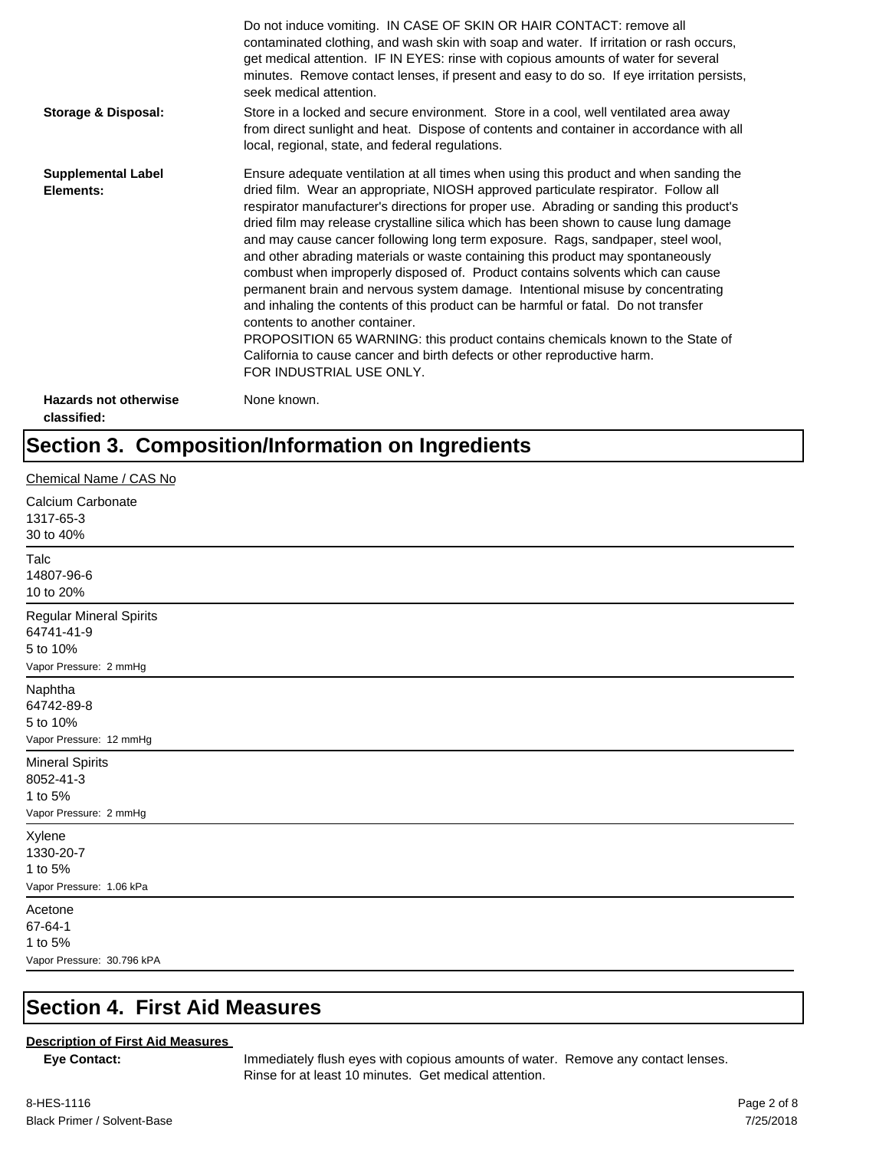|                                             | Do not induce vomiting. IN CASE OF SKIN OR HAIR CONTACT: remove all<br>contaminated clothing, and wash skin with soap and water. If irritation or rash occurs,<br>get medical attention. IF IN EYES: rinse with copious amounts of water for several<br>minutes. Remove contact lenses, if present and easy to do so. If eye irritation persists,<br>seek medical attention.                                                                                                                                                                                                                                                                                                                                                                                                                                                                                                                                                                                                                                             |
|---------------------------------------------|--------------------------------------------------------------------------------------------------------------------------------------------------------------------------------------------------------------------------------------------------------------------------------------------------------------------------------------------------------------------------------------------------------------------------------------------------------------------------------------------------------------------------------------------------------------------------------------------------------------------------------------------------------------------------------------------------------------------------------------------------------------------------------------------------------------------------------------------------------------------------------------------------------------------------------------------------------------------------------------------------------------------------|
| <b>Storage &amp; Disposal:</b>              | Store in a locked and secure environment. Store in a cool, well ventilated area away<br>from direct sunlight and heat. Dispose of contents and container in accordance with all<br>local, regional, state, and federal regulations.                                                                                                                                                                                                                                                                                                                                                                                                                                                                                                                                                                                                                                                                                                                                                                                      |
| <b>Supplemental Label</b><br>Elements:      | Ensure adequate ventilation at all times when using this product and when sanding the<br>dried film. Wear an appropriate, NIOSH approved particulate respirator. Follow all<br>respirator manufacturer's directions for proper use. Abrading or sanding this product's<br>dried film may release crystalline silica which has been shown to cause lung damage<br>and may cause cancer following long term exposure. Rags, sandpaper, steel wool,<br>and other abrading materials or waste containing this product may spontaneously<br>combust when improperly disposed of. Product contains solvents which can cause<br>permanent brain and nervous system damage. Intentional misuse by concentrating<br>and inhaling the contents of this product can be harmful or fatal. Do not transfer<br>contents to another container.<br>PROPOSITION 65 WARNING: this product contains chemicals known to the State of<br>California to cause cancer and birth defects or other reproductive harm.<br>FOR INDUSTRIAL USE ONLY. |
| <b>Hazards not otherwise</b><br>classified: | None known.                                                                                                                                                                                                                                                                                                                                                                                                                                                                                                                                                                                                                                                                                                                                                                                                                                                                                                                                                                                                              |

## **Section 3. Composition/Information on Ingredients**

| Chemical Name / CAS No                                                             |
|------------------------------------------------------------------------------------|
| Calcium Carbonate<br>1317-65-3<br>30 to 40%                                        |
| Talc<br>14807-96-6<br>10 to 20%                                                    |
| <b>Regular Mineral Spirits</b><br>64741-41-9<br>5 to 10%<br>Vapor Pressure: 2 mmHg |
| Naphtha<br>64742-89-8<br>5 to 10%<br>Vapor Pressure: 12 mmHg                       |
| <b>Mineral Spirits</b><br>8052-41-3<br>1 to 5%<br>Vapor Pressure: 2 mmHg           |
| Xylene<br>1330-20-7<br>1 to 5%<br>Vapor Pressure: 1.06 kPa                         |
| Acetone<br>67-64-1<br>1 to 5%<br>Vapor Pressure: 30.796 kPA                        |

#### **Section 4. First Aid Measures**

#### **Description of First Aid Measures**

**Eye Contact:** Immediately flush eyes with copious amounts of water. Remove any contact lenses. Rinse for at least 10 minutes. Get medical attention.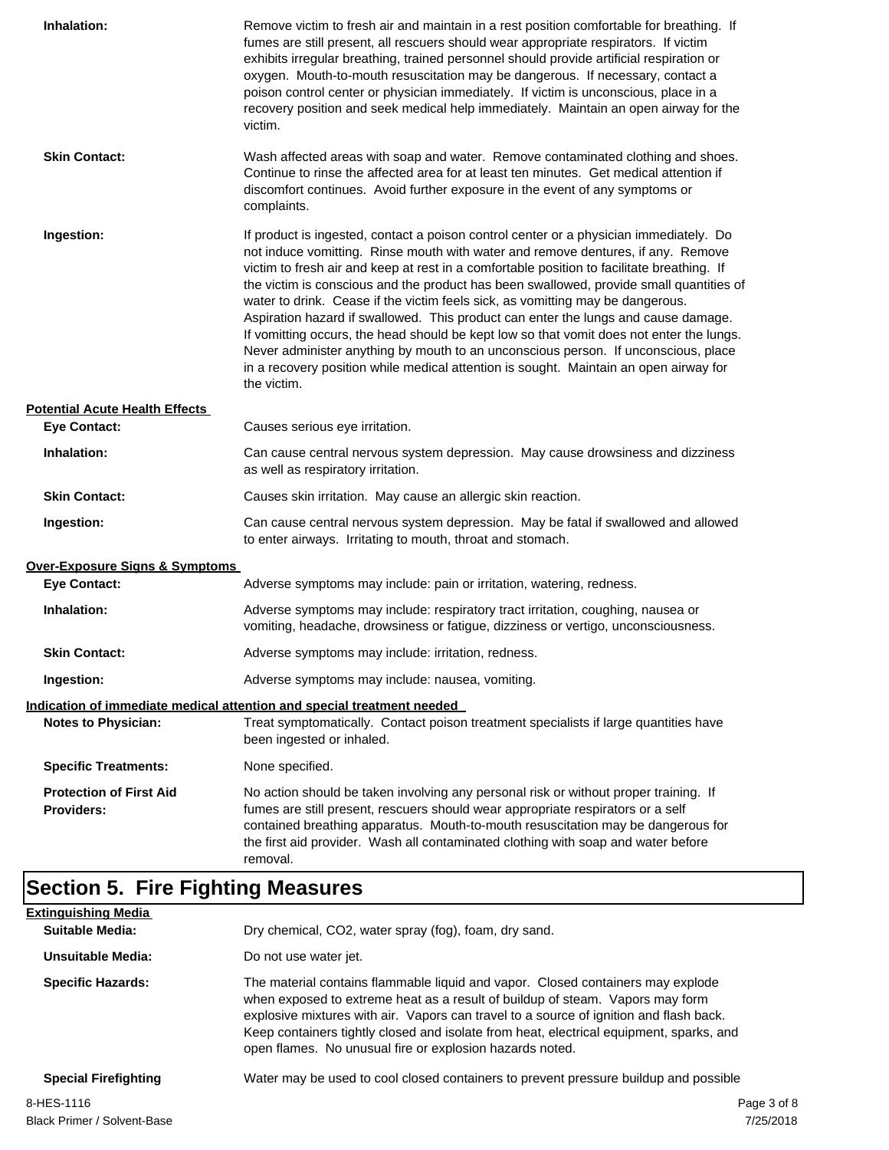| Inhalation:                                         | Remove victim to fresh air and maintain in a rest position comfortable for breathing. If<br>fumes are still present, all rescuers should wear appropriate respirators. If victim<br>exhibits irregular breathing, trained personnel should provide artificial respiration or<br>oxygen. Mouth-to-mouth resuscitation may be dangerous. If necessary, contact a<br>poison control center or physician immediately. If victim is unconscious, place in a<br>recovery position and seek medical help immediately. Maintain an open airway for the<br>victim.                                                                                                                                                                                                                                                                             |
|-----------------------------------------------------|---------------------------------------------------------------------------------------------------------------------------------------------------------------------------------------------------------------------------------------------------------------------------------------------------------------------------------------------------------------------------------------------------------------------------------------------------------------------------------------------------------------------------------------------------------------------------------------------------------------------------------------------------------------------------------------------------------------------------------------------------------------------------------------------------------------------------------------|
| <b>Skin Contact:</b>                                | Wash affected areas with soap and water. Remove contaminated clothing and shoes.<br>Continue to rinse the affected area for at least ten minutes. Get medical attention if<br>discomfort continues. Avoid further exposure in the event of any symptoms or<br>complaints.                                                                                                                                                                                                                                                                                                                                                                                                                                                                                                                                                             |
| Ingestion:                                          | If product is ingested, contact a poison control center or a physician immediately. Do<br>not induce vomitting. Rinse mouth with water and remove dentures, if any. Remove<br>victim to fresh air and keep at rest in a comfortable position to facilitate breathing. If<br>the victim is conscious and the product has been swallowed, provide small quantities of<br>water to drink. Cease if the victim feels sick, as vomitting may be dangerous.<br>Aspiration hazard if swallowed. This product can enter the lungs and cause damage.<br>If vomitting occurs, the head should be kept low so that vomit does not enter the lungs.<br>Never administer anything by mouth to an unconscious person. If unconscious, place<br>in a recovery position while medical attention is sought. Maintain an open airway for<br>the victim. |
| <b>Potential Acute Health Effects</b>               |                                                                                                                                                                                                                                                                                                                                                                                                                                                                                                                                                                                                                                                                                                                                                                                                                                       |
| <b>Eye Contact:</b>                                 | Causes serious eye irritation.                                                                                                                                                                                                                                                                                                                                                                                                                                                                                                                                                                                                                                                                                                                                                                                                        |
| Inhalation:                                         | Can cause central nervous system depression. May cause drowsiness and dizziness<br>as well as respiratory irritation.                                                                                                                                                                                                                                                                                                                                                                                                                                                                                                                                                                                                                                                                                                                 |
| <b>Skin Contact:</b>                                | Causes skin irritation. May cause an allergic skin reaction.                                                                                                                                                                                                                                                                                                                                                                                                                                                                                                                                                                                                                                                                                                                                                                          |
| Ingestion:                                          | Can cause central nervous system depression. May be fatal if swallowed and allowed<br>to enter airways. Irritating to mouth, throat and stomach.                                                                                                                                                                                                                                                                                                                                                                                                                                                                                                                                                                                                                                                                                      |
| Over-Exposure Signs & Symptoms                      |                                                                                                                                                                                                                                                                                                                                                                                                                                                                                                                                                                                                                                                                                                                                                                                                                                       |
| <b>Eye Contact:</b>                                 | Adverse symptoms may include: pain or irritation, watering, redness.                                                                                                                                                                                                                                                                                                                                                                                                                                                                                                                                                                                                                                                                                                                                                                  |
| Inhalation:                                         | Adverse symptoms may include: respiratory tract irritation, coughing, nausea or<br>vomiting, headache, drowsiness or fatigue, dizziness or vertigo, unconsciousness.                                                                                                                                                                                                                                                                                                                                                                                                                                                                                                                                                                                                                                                                  |
| <b>Skin Contact:</b>                                | Adverse symptoms may include: irritation, redness.                                                                                                                                                                                                                                                                                                                                                                                                                                                                                                                                                                                                                                                                                                                                                                                    |
| Ingestion:                                          | Adverse symptoms may include: nausea, vomiting.                                                                                                                                                                                                                                                                                                                                                                                                                                                                                                                                                                                                                                                                                                                                                                                       |
|                                                     | Indication of immediate medical attention and special treatment needed                                                                                                                                                                                                                                                                                                                                                                                                                                                                                                                                                                                                                                                                                                                                                                |
| <b>Notes to Physician:</b>                          | Treat symptomatically. Contact poison treatment specialists if large quantities have<br>been ingested or inhaled.                                                                                                                                                                                                                                                                                                                                                                                                                                                                                                                                                                                                                                                                                                                     |
| <b>Specific Treatments:</b>                         | None specified.                                                                                                                                                                                                                                                                                                                                                                                                                                                                                                                                                                                                                                                                                                                                                                                                                       |
| <b>Protection of First Aid</b><br><b>Providers:</b> | No action should be taken involving any personal risk or without proper training. If<br>fumes are still present, rescuers should wear appropriate respirators or a self<br>contained breathing apparatus. Mouth-to-mouth resuscitation may be dangerous for<br>the first aid provider. Wash all contaminated clothing with soap and water before<br>removal.                                                                                                                                                                                                                                                                                                                                                                                                                                                                          |

## **Section 5. Fire Fighting Measures**

| <b>Extinguishing Media</b>  |                                                                                                                                                                                                                                                                                                                                                                                                                   |
|-----------------------------|-------------------------------------------------------------------------------------------------------------------------------------------------------------------------------------------------------------------------------------------------------------------------------------------------------------------------------------------------------------------------------------------------------------------|
| Suitable Media:             | Dry chemical, CO2, water spray (fog), foam, dry sand.                                                                                                                                                                                                                                                                                                                                                             |
| Unsuitable Media:           | Do not use water jet.                                                                                                                                                                                                                                                                                                                                                                                             |
| <b>Specific Hazards:</b>    | The material contains flammable liquid and vapor. Closed containers may explode<br>when exposed to extreme heat as a result of buildup of steam. Vapors may form<br>explosive mixtures with air. Vapors can travel to a source of ignition and flash back.<br>Keep containers tightly closed and isolate from heat, electrical equipment, sparks, and<br>open flames. No unusual fire or explosion hazards noted. |
| <b>Special Firefighting</b> | Water may be used to cool closed containers to prevent pressure buildup and possible                                                                                                                                                                                                                                                                                                                              |
| 8-HES-1116                  | Page 3 of 8                                                                                                                                                                                                                                                                                                                                                                                                       |
|                             |                                                                                                                                                                                                                                                                                                                                                                                                                   |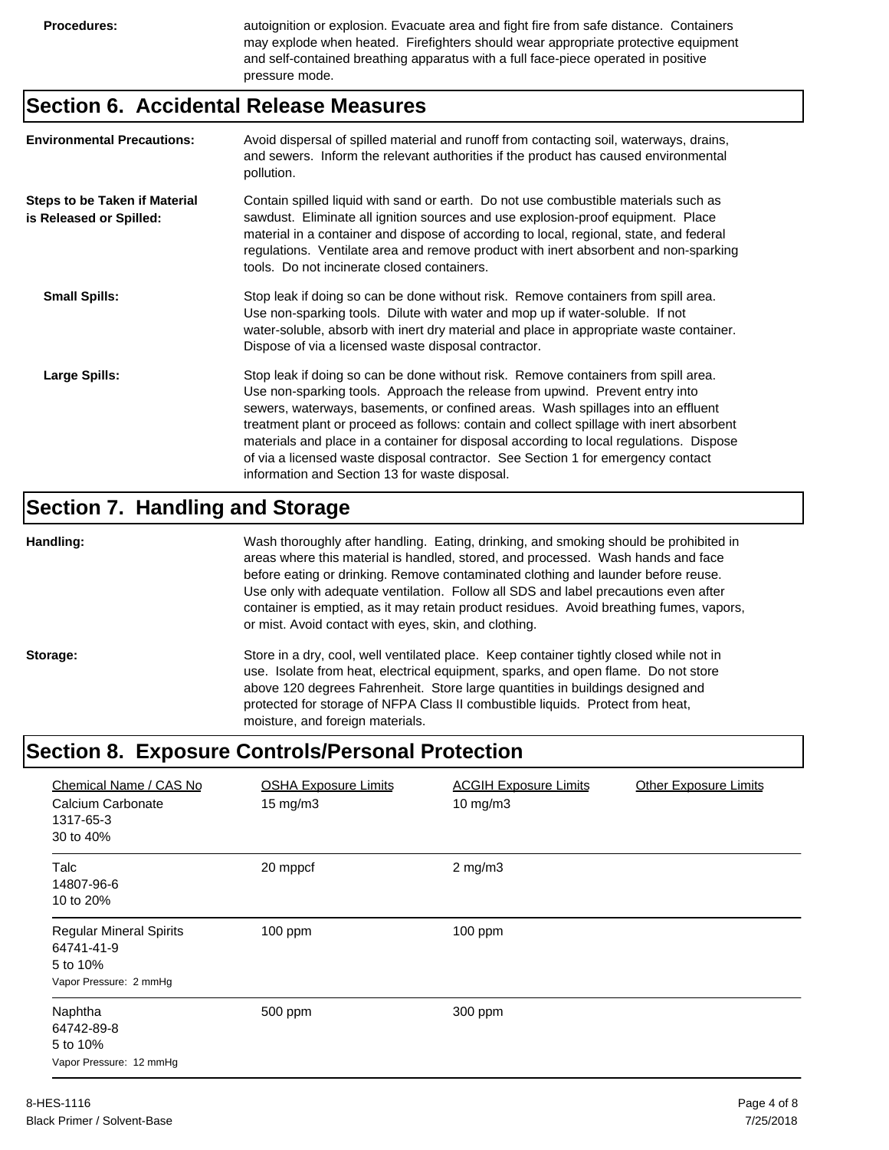**Procedures:** autoignition or explosion. Evacuate area and fight fire from safe distance. Containers may explode when heated. Firefighters should wear appropriate protective equipment and self-contained breathing apparatus with a full face-piece operated in positive pressure mode.

#### **Section 6. Accidental Release Measures**

| <b>Environmental Precautions:</b>                               | Avoid dispersal of spilled material and runoff from contacting soil, waterways, drains,<br>and sewers. Inform the relevant authorities if the product has caused environmental<br>pollution.                                                                                                                                                                                                                                                                                                                                                                                        |
|-----------------------------------------------------------------|-------------------------------------------------------------------------------------------------------------------------------------------------------------------------------------------------------------------------------------------------------------------------------------------------------------------------------------------------------------------------------------------------------------------------------------------------------------------------------------------------------------------------------------------------------------------------------------|
| <b>Steps to be Taken if Material</b><br>is Released or Spilled: | Contain spilled liquid with sand or earth. Do not use combustible materials such as<br>sawdust. Eliminate all ignition sources and use explosion-proof equipment. Place<br>material in a container and dispose of according to local, regional, state, and federal<br>regulations. Ventilate area and remove product with inert absorbent and non-sparking<br>tools. Do not incinerate closed containers.                                                                                                                                                                           |
| <b>Small Spills:</b>                                            | Stop leak if doing so can be done without risk. Remove containers from spill area.<br>Use non-sparking tools. Dilute with water and mop up if water-soluble. If not<br>water-soluble, absorb with inert dry material and place in appropriate waste container.<br>Dispose of via a licensed waste disposal contractor.                                                                                                                                                                                                                                                              |
| Large Spills:                                                   | Stop leak if doing so can be done without risk. Remove containers from spill area.<br>Use non-sparking tools. Approach the release from upwind. Prevent entry into<br>sewers, waterways, basements, or confined areas. Wash spillages into an effluent<br>treatment plant or proceed as follows: contain and collect spillage with inert absorbent<br>materials and place in a container for disposal according to local regulations. Dispose<br>of via a licensed waste disposal contractor. See Section 1 for emergency contact<br>information and Section 13 for waste disposal. |

#### **Section 7. Handling and Storage**

**Handling:** Wash thoroughly after handling. Eating, drinking, and smoking should be prohibited in areas where this material is handled, stored, and processed. Wash hands and face before eating or drinking. Remove contaminated clothing and launder before reuse. Use only with adequate ventilation. Follow all SDS and label precautions even after container is emptied, as it may retain product residues. Avoid breathing fumes, vapors, or mist. Avoid contact with eyes, skin, and clothing.

Storage: Store in a dry, cool, well ventilated place. Keep container tightly closed while not in use. Isolate from heat, electrical equipment, sparks, and open flame. Do not store above 120 degrees Fahrenheit. Store large quantities in buildings designed and protected for storage of NFPA Class II combustible liquids. Protect from heat, moisture, and foreign materials.

#### **Section 8. Exposure Controls/Personal Protection**

| Chemical Name / CAS No<br>Calcium Carbonate<br>1317-65-3<br>30 to 40%              | <b>OSHA Exposure Limits</b><br>$15 \text{ mg/m}$ | <b>ACGIH Exposure Limits</b><br>10 mg/m $3$ | <b>Other Exposure Limits</b> |
|------------------------------------------------------------------------------------|--------------------------------------------------|---------------------------------------------|------------------------------|
| Talc<br>14807-96-6<br>10 to 20%                                                    | 20 mppcf                                         | $2$ mg/m $3$                                |                              |
| <b>Regular Mineral Spirits</b><br>64741-41-9<br>5 to 10%<br>Vapor Pressure: 2 mmHg | $100$ ppm                                        | $100$ ppm                                   |                              |
| Naphtha<br>64742-89-8<br>5 to 10%<br>Vapor Pressure: 12 mmHg                       | 500 ppm                                          | 300 ppm                                     |                              |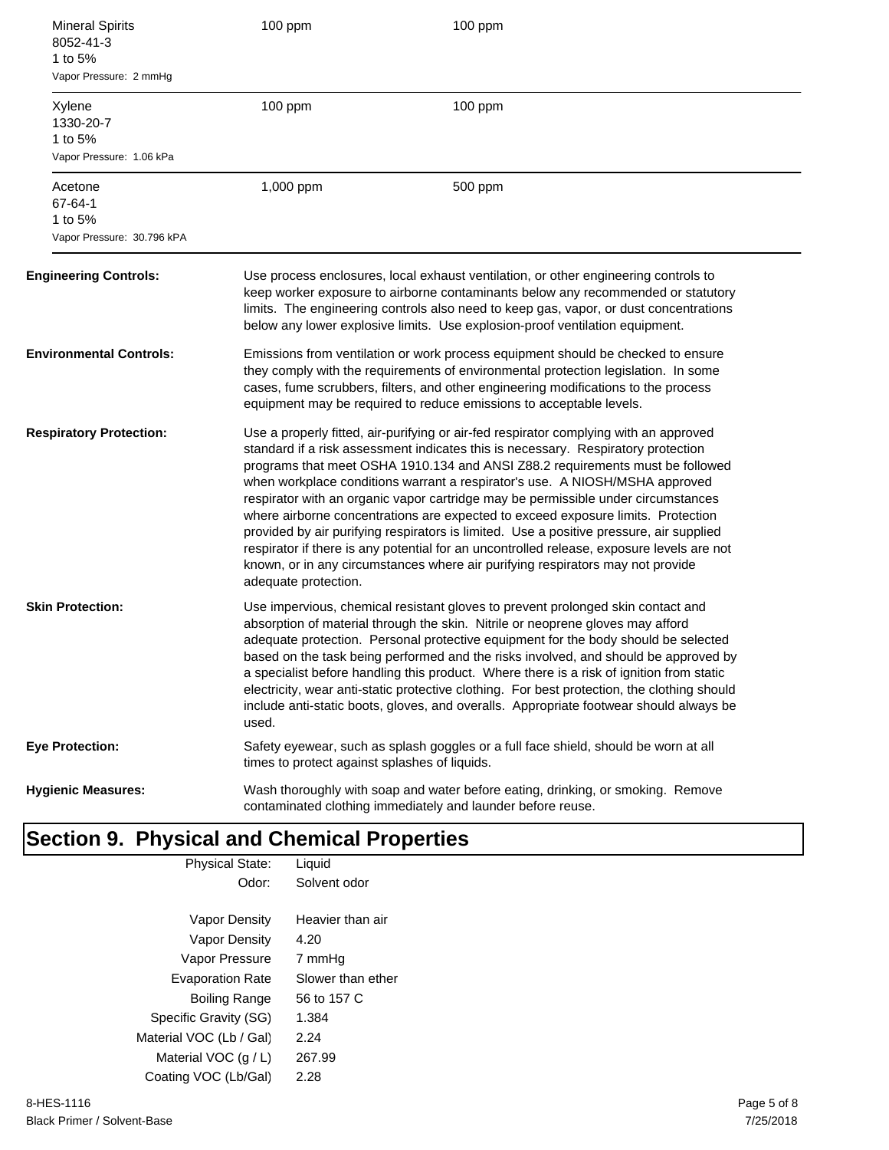| <b>Mineral Spirits</b><br>8052-41-3<br>1 to 5%<br>Vapor Pressure: 2 mmHg | 100 ppm                                                                                                                                                                                                                                                                                                                                                                                                                                                                                                                                                                                                                                                                                                                                                                                                               | 100 ppm                                                                                                                                                                                                                                                                                                                                          |
|--------------------------------------------------------------------------|-----------------------------------------------------------------------------------------------------------------------------------------------------------------------------------------------------------------------------------------------------------------------------------------------------------------------------------------------------------------------------------------------------------------------------------------------------------------------------------------------------------------------------------------------------------------------------------------------------------------------------------------------------------------------------------------------------------------------------------------------------------------------------------------------------------------------|--------------------------------------------------------------------------------------------------------------------------------------------------------------------------------------------------------------------------------------------------------------------------------------------------------------------------------------------------|
| Xylene<br>1330-20-7<br>1 to 5%<br>Vapor Pressure: 1.06 kPa               | 100 ppm                                                                                                                                                                                                                                                                                                                                                                                                                                                                                                                                                                                                                                                                                                                                                                                                               | $100$ ppm                                                                                                                                                                                                                                                                                                                                        |
| Acetone<br>67-64-1<br>1 to 5%<br>Vapor Pressure: 30.796 kPA              | 1,000 ppm                                                                                                                                                                                                                                                                                                                                                                                                                                                                                                                                                                                                                                                                                                                                                                                                             | 500 ppm                                                                                                                                                                                                                                                                                                                                          |
| <b>Engineering Controls:</b>                                             |                                                                                                                                                                                                                                                                                                                                                                                                                                                                                                                                                                                                                                                                                                                                                                                                                       | Use process enclosures, local exhaust ventilation, or other engineering controls to<br>keep worker exposure to airborne contaminants below any recommended or statutory<br>limits. The engineering controls also need to keep gas, vapor, or dust concentrations<br>below any lower explosive limits. Use explosion-proof ventilation equipment. |
| Environmental Controls:                                                  | Emissions from ventilation or work process equipment should be checked to ensure<br>they comply with the requirements of environmental protection legislation. In some<br>cases, fume scrubbers, filters, and other engineering modifications to the process<br>equipment may be required to reduce emissions to acceptable levels.                                                                                                                                                                                                                                                                                                                                                                                                                                                                                   |                                                                                                                                                                                                                                                                                                                                                  |
| <b>Respiratory Protection:</b>                                           | Use a properly fitted, air-purifying or air-fed respirator complying with an approved<br>standard if a risk assessment indicates this is necessary. Respiratory protection<br>programs that meet OSHA 1910.134 and ANSI Z88.2 requirements must be followed<br>when workplace conditions warrant a respirator's use. A NIOSH/MSHA approved<br>respirator with an organic vapor cartridge may be permissible under circumstances<br>where airborne concentrations are expected to exceed exposure limits. Protection<br>provided by air purifying respirators is limited. Use a positive pressure, air supplied<br>respirator if there is any potential for an uncontrolled release, exposure levels are not<br>known, or in any circumstances where air purifying respirators may not provide<br>adequate protection. |                                                                                                                                                                                                                                                                                                                                                  |
| <b>Skin Protection:</b>                                                  | Use impervious, chemical resistant gloves to prevent prolonged skin contact and<br>absorption of material through the skin. Nitrile or neoprene gloves may afford<br>adequate protection. Personal protective equipment for the body should be selected<br>based on the task being performed and the risks involved, and should be approved by<br>a specialist before handling this product. Where there is a risk of ignition from static<br>electricity, wear anti-static protective clothing. For best protection, the clothing should<br>include anti-static boots, gloves, and overalls. Appropriate footwear should always be<br>used.                                                                                                                                                                          |                                                                                                                                                                                                                                                                                                                                                  |
| Eye Protection:                                                          | times to protect against splashes of liquids.                                                                                                                                                                                                                                                                                                                                                                                                                                                                                                                                                                                                                                                                                                                                                                         | Safety eyewear, such as splash goggles or a full face shield, should be worn at all                                                                                                                                                                                                                                                              |
| <b>Hygienic Measures:</b>                                                |                                                                                                                                                                                                                                                                                                                                                                                                                                                                                                                                                                                                                                                                                                                                                                                                                       | Wash thoroughly with soap and water before eating, drinking, or smoking. Remove<br>contaminated clothing immediately and launder before reuse.                                                                                                                                                                                                   |

| <b>Physical State:</b>  | Liquid            |
|-------------------------|-------------------|
| Odor:                   | Solvent odor      |
|                         |                   |
| Vapor Density           | Heavier than air  |
| Vapor Density           | 4.20              |
| Vapor Pressure          | 7 mmHq            |
| <b>Evaporation Rate</b> | Slower than ether |
| Boiling Range           | 56 to 157 C       |
| Specific Gravity (SG)   | 1.384             |
| Material VOC (Lb / Gal) | 2.24              |
| Material VOC $(q/L)$    | 267.99            |
| Coating VOC (Lb/Gal)    | 2.28              |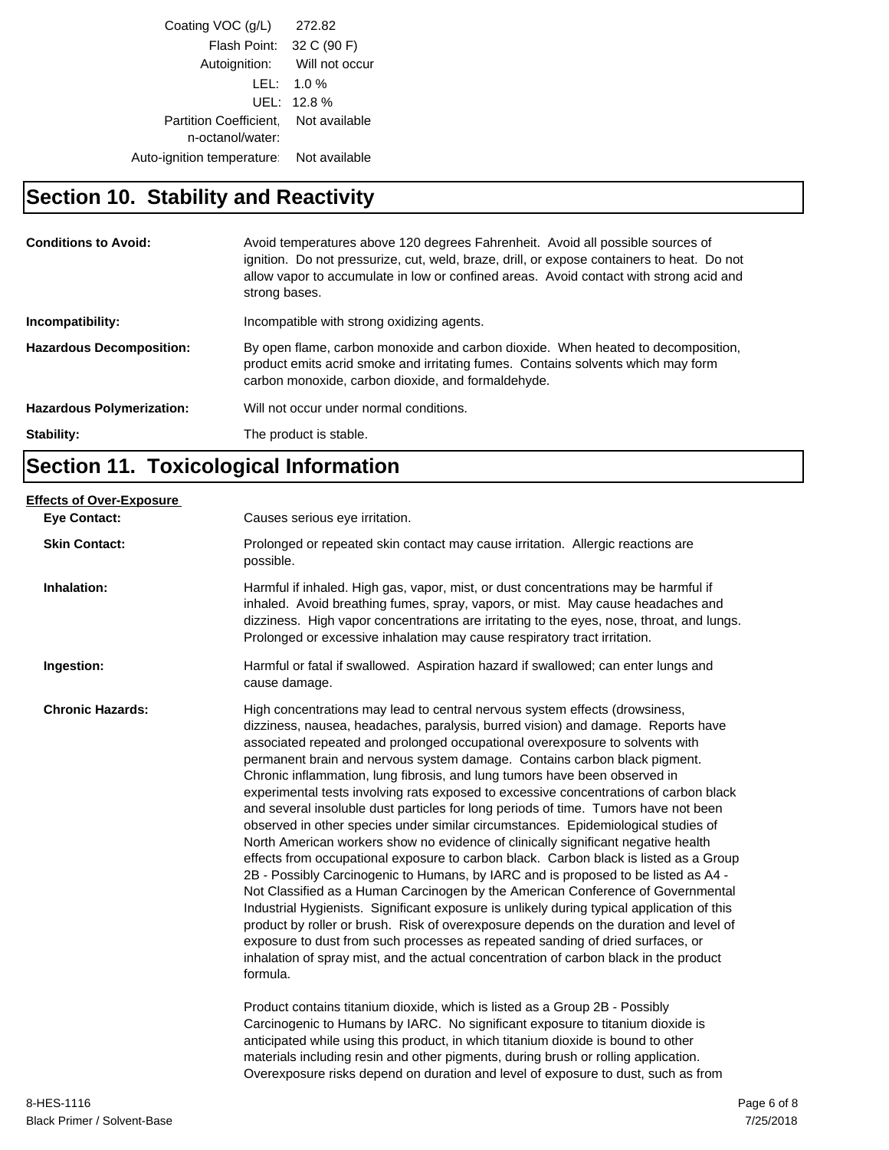| Coating VOC (q/L)                                        | 272.82                       |
|----------------------------------------------------------|------------------------------|
| Flash Point: 32 C (90 F)                                 |                              |
|                                                          | Autoignition: Will not occur |
|                                                          | $LEL: 1.0\%$                 |
|                                                          | UEL: 12.8%                   |
| Partition Coefficient. Not available<br>n-octanol/water: |                              |
| Auto-ignition temperature   Not available                |                              |
|                                                          |                              |

## **Section 10. Stability and Reactivity**

| <b>Conditions to Avoid:</b>      | Avoid temperatures above 120 degrees Fahrenheit. Avoid all possible sources of<br>ignition. Do not pressurize, cut, weld, braze, drill, or expose containers to heat. Do not<br>allow vapor to accumulate in low or confined areas. Avoid contact with strong acid and<br>strong bases. |
|----------------------------------|-----------------------------------------------------------------------------------------------------------------------------------------------------------------------------------------------------------------------------------------------------------------------------------------|
| Incompatibility:                 | Incompatible with strong oxidizing agents.                                                                                                                                                                                                                                              |
| <b>Hazardous Decomposition:</b>  | By open flame, carbon monoxide and carbon dioxide. When heated to decomposition,<br>product emits acrid smoke and irritating fumes. Contains solvents which may form<br>carbon monoxide, carbon dioxide, and formaldehyde.                                                              |
| <b>Hazardous Polymerization:</b> | Will not occur under normal conditions.                                                                                                                                                                                                                                                 |
| Stability:                       | The product is stable.                                                                                                                                                                                                                                                                  |

## **Section 11. Toxicological Information**

| <b>Eve Contact:</b>     | Causes serious eye irritation.                                                                                                                                                                                                                                                                                                                                                                                                                                                                                                                                                                                                                                                                                                                                                                                                                                                                                                                                                                                                                                                                                                                                                                                                                                                                                                                                                                                       |
|-------------------------|----------------------------------------------------------------------------------------------------------------------------------------------------------------------------------------------------------------------------------------------------------------------------------------------------------------------------------------------------------------------------------------------------------------------------------------------------------------------------------------------------------------------------------------------------------------------------------------------------------------------------------------------------------------------------------------------------------------------------------------------------------------------------------------------------------------------------------------------------------------------------------------------------------------------------------------------------------------------------------------------------------------------------------------------------------------------------------------------------------------------------------------------------------------------------------------------------------------------------------------------------------------------------------------------------------------------------------------------------------------------------------------------------------------------|
| <b>Skin Contact:</b>    | Prolonged or repeated skin contact may cause irritation. Allergic reactions are<br>possible.                                                                                                                                                                                                                                                                                                                                                                                                                                                                                                                                                                                                                                                                                                                                                                                                                                                                                                                                                                                                                                                                                                                                                                                                                                                                                                                         |
| Inhalation:             | Harmful if inhaled. High gas, vapor, mist, or dust concentrations may be harmful if<br>inhaled. Avoid breathing fumes, spray, vapors, or mist. May cause headaches and<br>dizziness. High vapor concentrations are irritating to the eyes, nose, throat, and lungs.<br>Prolonged or excessive inhalation may cause respiratory tract irritation.                                                                                                                                                                                                                                                                                                                                                                                                                                                                                                                                                                                                                                                                                                                                                                                                                                                                                                                                                                                                                                                                     |
| Ingestion:              | Harmful or fatal if swallowed. Aspiration hazard if swallowed; can enter lungs and<br>cause damage.                                                                                                                                                                                                                                                                                                                                                                                                                                                                                                                                                                                                                                                                                                                                                                                                                                                                                                                                                                                                                                                                                                                                                                                                                                                                                                                  |
| <b>Chronic Hazards:</b> | High concentrations may lead to central nervous system effects (drowsiness,<br>dizziness, nausea, headaches, paralysis, burred vision) and damage. Reports have<br>associated repeated and prolonged occupational overexposure to solvents with<br>permanent brain and nervous system damage. Contains carbon black pigment.<br>Chronic inflammation, lung fibrosis, and lung tumors have been observed in<br>experimental tests involving rats exposed to excessive concentrations of carbon black<br>and several insoluble dust particles for long periods of time. Tumors have not been<br>observed in other species under similar circumstances. Epidemiological studies of<br>North American workers show no evidence of clinically significant negative health<br>effects from occupational exposure to carbon black. Carbon black is listed as a Group<br>2B - Possibly Carcinogenic to Humans, by IARC and is proposed to be listed as A4 -<br>Not Classified as a Human Carcinogen by the American Conference of Governmental<br>Industrial Hygienists. Significant exposure is unlikely during typical application of this<br>product by roller or brush. Risk of overexposure depends on the duration and level of<br>exposure to dust from such processes as repeated sanding of dried surfaces, or<br>inhalation of spray mist, and the actual concentration of carbon black in the product<br>formula. |
|                         | Product contains titanium dioxide, which is listed as a Group 2B - Possibly<br>Carcinogenic to Humans by IARC. No significant exposure to titanium dioxide is<br>anticipated while using this product, in which titanium dioxide is bound to other<br>materials including resin and other pigments, during brush or rolling application.<br>Overexposure risks depend on duration and level of exposure to dust, such as from                                                                                                                                                                                                                                                                                                                                                                                                                                                                                                                                                                                                                                                                                                                                                                                                                                                                                                                                                                                        |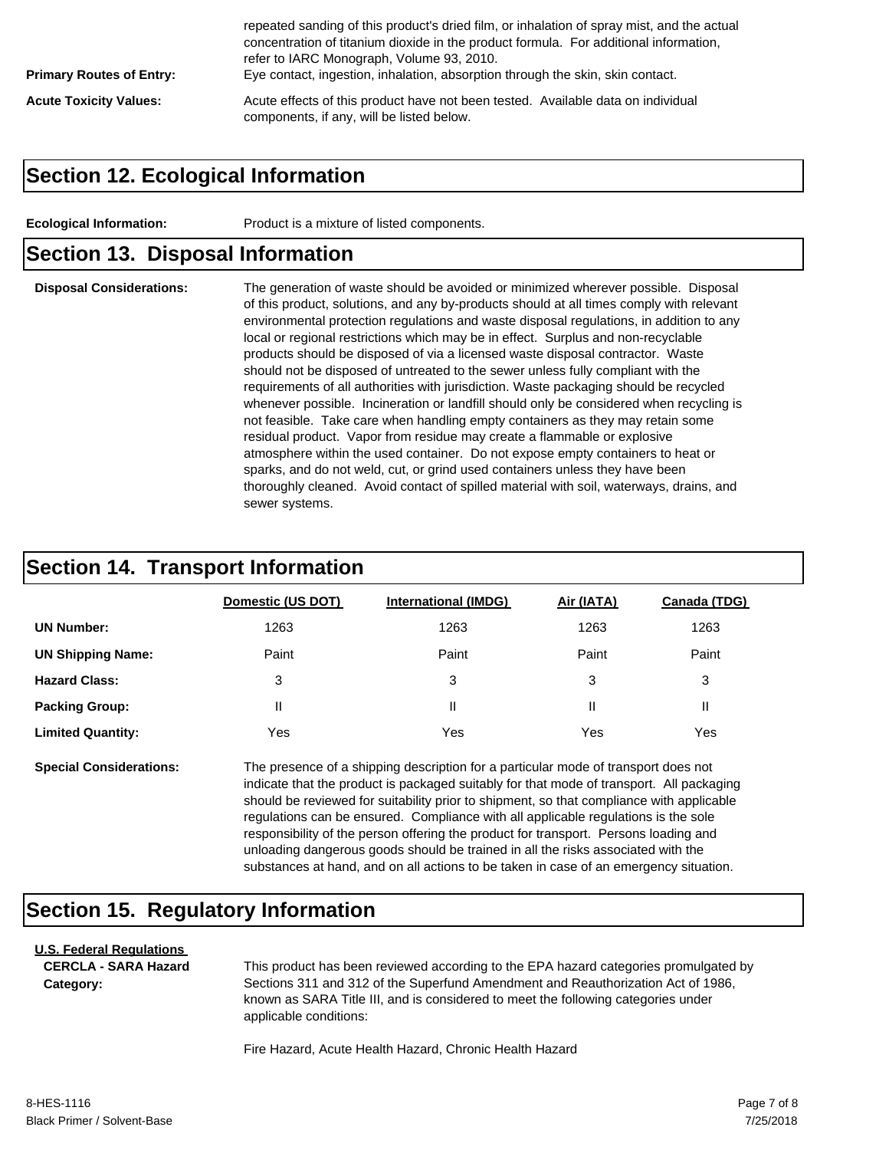| <b>Primary Routes of Entry:</b> | repeated sanding of this product's dried film, or inhalation of spray mist, and the actual<br>concentration of titanium dioxide in the product formula. For additional information,<br>refer to IARC Monograph, Volume 93, 2010.<br>Eye contact, ingestion, inhalation, absorption through the skin, skin contact. |
|---------------------------------|--------------------------------------------------------------------------------------------------------------------------------------------------------------------------------------------------------------------------------------------------------------------------------------------------------------------|
| <b>Acute Toxicity Values:</b>   | Acute effects of this product have not been tested. Available data on individual<br>components, if any, will be listed below.                                                                                                                                                                                      |

#### **Section 12. Ecological Information**

**Ecological Information:** Product is a mixture of listed components.

#### **Section 13. Disposal Information**

**Disposal Considerations:** The generation of waste should be avoided or minimized wherever possible. Disposal of this product, solutions, and any by-products should at all times comply with relevant environmental protection regulations and waste disposal regulations, in addition to any local or regional restrictions which may be in effect. Surplus and non-recyclable products should be disposed of via a licensed waste disposal contractor. Waste should not be disposed of untreated to the sewer unless fully compliant with the requirements of all authorities with jurisdiction. Waste packaging should be recycled whenever possible. Incineration or landfill should only be considered when recycling is not feasible. Take care when handling empty containers as they may retain some residual product. Vapor from residue may create a flammable or explosive atmosphere within the used container. Do not expose empty containers to heat or sparks, and do not weld, cut, or grind used containers unless they have been thoroughly cleaned. Avoid contact of spilled material with soil, waterways, drains, and sewer systems.

#### **Section 14. Transport Information**

|                          | Domestic (US DOT) | <b>International (IMDG)</b> | Air (IATA) | <b>Canada (TDG)</b> |
|--------------------------|-------------------|-----------------------------|------------|---------------------|
| <b>UN Number:</b>        | 1263              | 1263                        | 1263       | 1263                |
| <b>UN Shipping Name:</b> | Paint             | Paint                       | Paint      | Paint               |
| <b>Hazard Class:</b>     | 3                 | 3                           | 3          | 3                   |
| <b>Packing Group:</b>    | Ш                 | Ш                           |            | н.                  |
| <b>Limited Quantity:</b> | Yes               | Yes                         | Yes        | Yes                 |

**Special Considerations:** The presence of a shipping description for a particular mode of transport does not indicate that the product is packaged suitably for that mode of transport. All packaging should be reviewed for suitability prior to shipment, so that compliance with applicable regulations can be ensured. Compliance with all applicable regulations is the sole responsibility of the person offering the product for transport. Persons loading and unloading dangerous goods should be trained in all the risks associated with the substances at hand, and on all actions to be taken in case of an emergency situation.

## **Section 15. Regulatory Information**

#### **U.S. Federal Regulations CERCLA - SARA Hazard Category:**

This product has been reviewed according to the EPA hazard categories promulgated by Sections 311 and 312 of the Superfund Amendment and Reauthorization Act of 1986, known as SARA Title III, and is considered to meet the following categories under applicable conditions:

Fire Hazard, Acute Health Hazard, Chronic Health Hazard